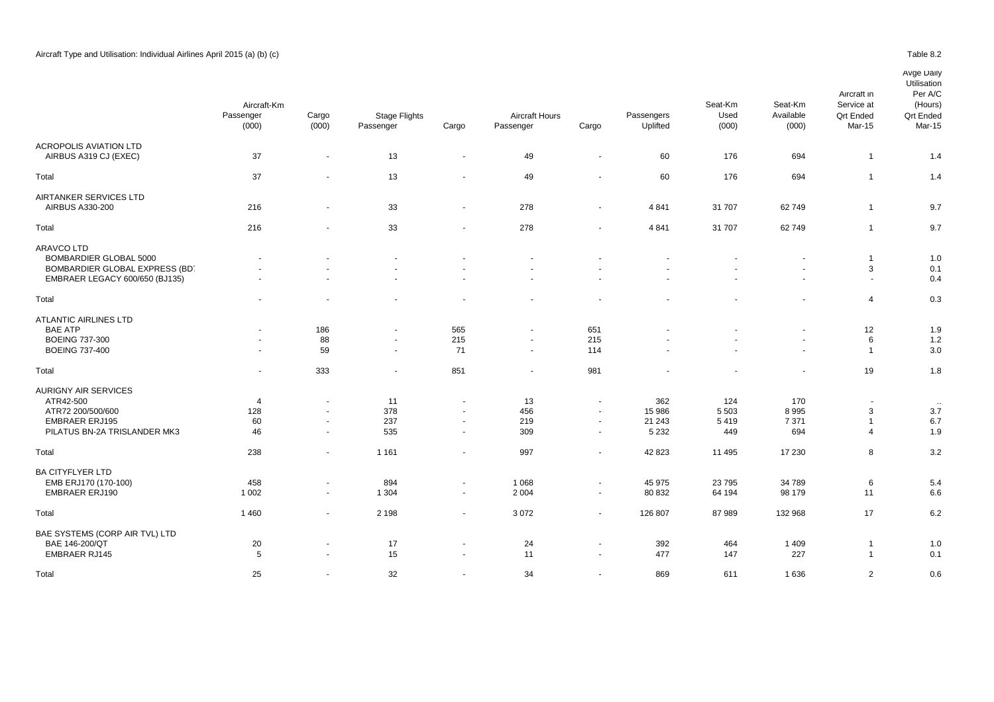BA CITYFLYER LTD

BAE SYSTEMS (CORP AIR TVL) LTD

ARAVCO LTD

|                                | Aircraft-Km<br>Passenger<br>(000) | Cargo<br>(000)           | <b>Stage Flights</b><br>Passenger | Cargo                    | <b>Aircraft Hours</b><br>Passenger | Cargo                    | Passengers<br>Uplifted | Seat-Km<br>Used<br>(000) | Seat-Km<br>Available<br>(000) | Aircraft in<br>Service at<br><b>Qrt Ended</b><br>Mar-15 | Utilisation<br>Per A/C<br>(Hours)<br><b>Qrt Ended</b><br>Mar-15 |  |
|--------------------------------|-----------------------------------|--------------------------|-----------------------------------|--------------------------|------------------------------------|--------------------------|------------------------|--------------------------|-------------------------------|---------------------------------------------------------|-----------------------------------------------------------------|--|
| <b>ACROPOLIS AVIATION LTD</b>  |                                   |                          |                                   |                          |                                    |                          |                        |                          |                               |                                                         |                                                                 |  |
| AIRBUS A319 CJ (EXEC)          | 37                                | $\overline{\phantom{a}}$ | 13                                | $\sim$                   | 49                                 | $\sim$                   | 60                     | 176                      | 694                           |                                                         | 1.4                                                             |  |
| Total                          | 37                                | $\overline{\phantom{a}}$ | 13                                | $\sim$                   | 49                                 | $\overline{\phantom{a}}$ | 60                     | 176                      | 694                           |                                                         | 1.4                                                             |  |
| AIRTANKER SERVICES LTD         |                                   |                          |                                   |                          |                                    |                          |                        |                          |                               |                                                         |                                                                 |  |
| AIRBUS A330-200                | 216                               | $\overline{\phantom{a}}$ | 33                                | $\overline{\phantom{a}}$ | 278                                | $\overline{\phantom{a}}$ | 4 8 4 1                | 31 707                   | 62749                         |                                                         | 9.7                                                             |  |
| Total                          | 216                               | $\overline{\phantom{a}}$ | 33                                | $\sim$                   | 278                                | $\sim$                   | 4 8 4 1                | 31 707                   | 62749                         |                                                         | 9.7                                                             |  |
| <b>ARAVCO LTD</b>              |                                   |                          |                                   |                          |                                    |                          |                        |                          |                               |                                                         |                                                                 |  |
| <b>BOMBARDIER GLOBAL 5000</b>  | $\sim$                            | $\blacksquare$           | $\sim$                            | $\blacksquare$           |                                    | ۰                        |                        | $\overline{\phantom{a}}$ | $\sim$                        |                                                         | 1.0                                                             |  |
| BOMBARDIER GLOBAL EXPRESS (BD. |                                   | $\overline{\phantom{a}}$ | $\sim$                            | $\sim$                   | $\overline{\phantom{a}}$           | $\overline{\phantom{a}}$ |                        | $\overline{\phantom{a}}$ | $\overline{\phantom{a}}$      | 3                                                       | 0.1                                                             |  |
| EMBRAER LEGACY 600/650 (BJ135) | $\overline{\phantom{a}}$          | $\overline{a}$           | $\overline{\phantom{a}}$          | $\overline{a}$           | $\overline{a}$                     | $\sim$                   |                        | $\overline{\phantom{a}}$ | $\overline{a}$                | $\overline{a}$                                          | 0.4                                                             |  |
| Total                          |                                   |                          |                                   |                          |                                    |                          |                        |                          |                               | 4                                                       | 0.3                                                             |  |
| <b>ATLANTIC AIRLINES LTD</b>   |                                   |                          |                                   |                          |                                    |                          |                        |                          |                               |                                                         |                                                                 |  |
| <b>BAE ATP</b>                 | $\sim$                            | 186                      | $\sim$                            | 565                      | $\sim$                             | 651                      |                        | $\overline{\phantom{a}}$ | $\sim$                        | 12                                                      | 1.9                                                             |  |
| <b>BOEING 737-300</b>          | $\sim$                            | 88                       | $\sim$                            | 215                      | $\sim$                             | 215                      |                        | $\overline{\phantom{a}}$ | $\sim$                        | 6                                                       | 1.2                                                             |  |
| <b>BOEING 737-400</b>          | $\sim$                            | 59                       | $\sim$                            | 71                       | $\sim$                             | 114                      |                        | $\sim$                   | $\sim$                        |                                                         | 3.0                                                             |  |
| Total                          | $\sim$                            | 333                      | $\sim$                            | 851                      | $\sim$                             | 981                      |                        | $\blacksquare$           | $\sim$                        | 19                                                      | 1.8                                                             |  |
| AURIGNY AIR SERVICES           |                                   |                          |                                   |                          |                                    |                          |                        |                          |                               |                                                         |                                                                 |  |
| ATR42-500                      | $\overline{4}$                    | $\overline{\phantom{a}}$ | 11                                | $\sim$                   | 13                                 | $\overline{\phantom{a}}$ | 362                    | 124                      | 170                           |                                                         | $\sim$                                                          |  |
| ATR72 200/500/600              | 128                               | $\overline{\phantom{a}}$ | 378                               | $\overline{\phantom{a}}$ | 456                                | $\sim$                   | 15 986                 | 5 5 0 3                  | 8995                          | 3                                                       | 3.7                                                             |  |
| <b>EMBRAER ERJ195</b>          | 60                                | $\overline{\phantom{a}}$ | 237                               | $\sim$                   | 219                                | $\sim$                   | 21 243                 | 5419                     | 7 3 7 1                       |                                                         | 6.7                                                             |  |

PILATUS BN-2A TRISLANDER MK3 46 535 309 5 232 49 694 4 1.9 Total 238 - 1 161 - 997 - 42 823 11 495 17 230 8 3.2

EMB ERJ170 (170-100) 458 894 1 068 45 975 23 795 34 789 6 5.4 EMBRAER ERJ190 1 002 - 1 304 - 2 004 - 80 832 64 194 98 179 11 6.6 Total 1 460 - 2 198 - 3 072 - 126 807 87 989 132 968 17 6.2

BAE 146-200/QT 20 - 17 - 24 - 392 464 1 409 1 1.0 EMBRAER RJ145 5 - 15 - 11 - 477 147 227 1 0.1 Total 25 - 32 - 34 - 869 611 1 636 2 0.6

# Avge Daily

**Utilisation**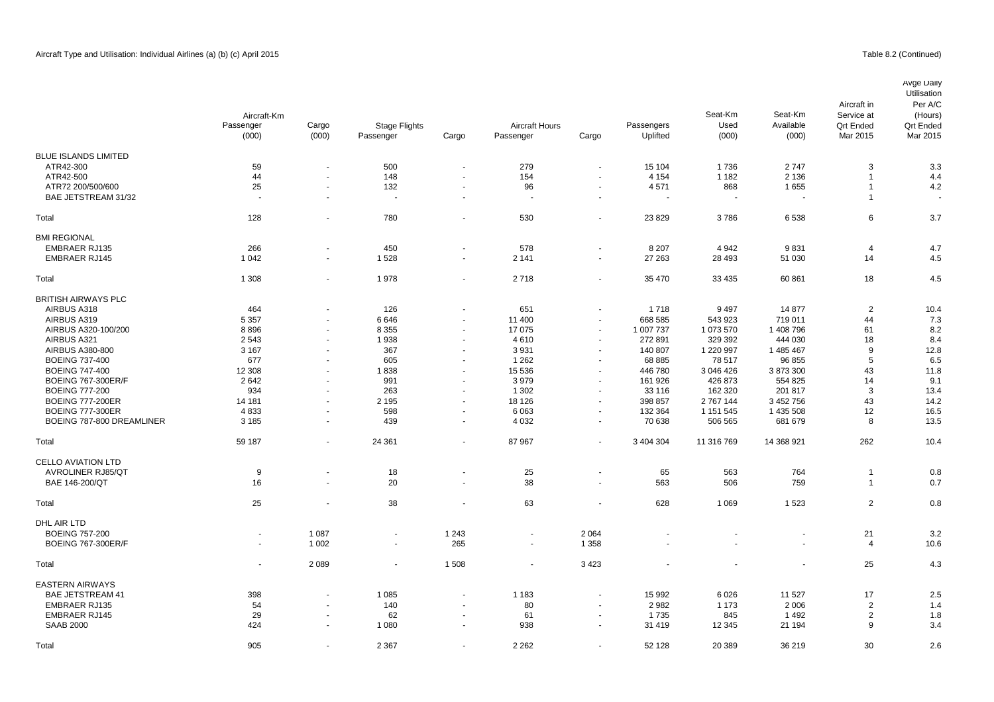## Table 8.2 (Continued)

|                                                       | Aircraft-Km        |                          |                                   |                       |                                    |                          |                        | Seat-Km                         | Seat-Km                  | Aircraft in<br>Service at    | Avge Daily<br>Utilisation<br>Per A/C<br>(Hours) |
|-------------------------------------------------------|--------------------|--------------------------|-----------------------------------|-----------------------|------------------------------------|--------------------------|------------------------|---------------------------------|--------------------------|------------------------------|-------------------------------------------------|
|                                                       | Passenger<br>(000) | Cargo<br>(000)           | <b>Stage Flights</b><br>Passenger | Cargo                 | <b>Aircraft Hours</b><br>Passenger | Cargo                    | Passengers<br>Uplifted | Used<br>(000)                   | Available<br>(000)       | <b>Qrt Ended</b><br>Mar 2015 | <b>Qrt Ended</b><br>Mar 2015                    |
| <b>BLUE ISLANDS LIMITED</b>                           |                    |                          |                                   |                       |                                    |                          |                        |                                 |                          |                              |                                                 |
| ATR42-300                                             |                    |                          | 500                               | $\sim$                | 279                                |                          |                        | 1736                            |                          |                              |                                                 |
|                                                       | 59                 | $\blacksquare$           |                                   |                       |                                    | $\blacksquare$           | 15 104                 |                                 | 2747                     | 3                            | 3.3                                             |
| ATR42-500                                             | 44                 | ä,                       | 148                               | $\tilde{\phantom{a}}$ | 154                                | $\blacksquare$           | 4 1 5 4                | 1 1 8 2                         | 2 1 3 6                  | $\overline{1}$               | 4.4                                             |
| ATR72 200/500/600                                     | 25                 | $\blacksquare$           | 132                               | $\blacksquare$        | 96                                 | $\overline{\phantom{a}}$ | 4571                   | 868<br>$\overline{\phantom{a}}$ | 1655                     | $\overline{1}$               | 4.2                                             |
| BAE JETSTREAM 31/32                                   | $\sim$             | $\blacksquare$           | $\sim$                            | $\sim$                | $\overline{\phantom{a}}$           | $\overline{\phantom{a}}$ | $\sim$                 |                                 | $\overline{\phantom{a}}$ | $\overline{1}$               |                                                 |
| Total                                                 | 128                | ä,                       | 780                               | ä,                    | 530                                | $\overline{\phantom{a}}$ | 23 8 29                | 3786                            | 6538                     | 6                            | 3.7                                             |
| <b>BMI REGIONAL</b>                                   |                    |                          |                                   |                       |                                    |                          |                        |                                 |                          |                              |                                                 |
| <b>EMBRAER RJ135</b>                                  | 266                | ÷,                       | 450                               | $\blacksquare$        | 578                                | $\overline{\phantom{a}}$ | 8 2 0 7                | 4 9 4 2                         | 9831                     | 4                            | 4.7                                             |
| <b>EMBRAER RJ145</b>                                  | 1 0 4 2            | $\overline{\phantom{a}}$ | 1528                              | $\sim$                | 2 1 4 1                            | $\blacksquare$           | 27 263                 | 28 4 93                         | 51 030                   | 14                           | 4.5                                             |
|                                                       |                    |                          |                                   |                       |                                    |                          |                        |                                 |                          |                              |                                                 |
| Total                                                 | 1 3 0 8            | $\blacksquare$           | 1978                              | $\sim$                | 2718                               | $\overline{\phantom{a}}$ | 35 470                 | 33 4 35                         | 60 861                   | 18                           | 4.5                                             |
| <b>BRITISH AIRWAYS PLC</b>                            |                    |                          |                                   |                       |                                    |                          |                        |                                 |                          |                              |                                                 |
| AIRBUS A318                                           | 464                | $\blacksquare$           | 126                               | $\sim$                | 651                                | $\overline{\phantom{a}}$ | 1 7 1 8                | 9 4 9 7                         | 14 877                   | $\overline{2}$               | 10.4                                            |
| AIRBUS A319                                           | 5 3 5 7            |                          | 6646                              | $\sim$                | 11 400                             | $\overline{\phantom{a}}$ | 668 585                | 543 923                         | 719 011                  | 44                           | 7.3                                             |
| AIRBUS A320-100/200                                   | 8896               | $\blacksquare$           | 8 3 5 5                           | $\sim$                | 17 075                             | $\blacksquare$           | 1 007 737              | 1 073 570                       | 1 408 796                | 61                           | 8.2                                             |
| AIRBUS A321                                           | 2543               | ÷.                       | 1938                              | ÷.                    | 4610                               | $\overline{\phantom{a}}$ | 272 891                | 329 392                         | 444 030                  | 18                           | 8.4                                             |
| AIRBUS A380-800                                       | 3 1 6 7            | $\ddot{\phantom{1}}$     | 367                               |                       | 3931                               | $\overline{\phantom{a}}$ | 140 807                | 1 220 997                       | 1 485 467                | 9                            | 12.8                                            |
| <b>BOEING 737-400</b>                                 | 677                | $\sim$                   | 605                               | ÷.                    | 1 2 6 2                            | $\overline{\phantom{a}}$ | 68 885                 | 78 517                          | 96 855                   | 5                            | 6.5                                             |
| <b>BOEING 747-400</b>                                 | 12 308             |                          | 1838                              |                       | 15 536                             | $\overline{\phantom{a}}$ | 446 780                | 3 046 426                       | 3 873 300                | 43                           | 11.8                                            |
| <b>BOEING 767-300ER/F</b>                             | 2642               | $\ddot{\phantom{1}}$     | 991                               | $\blacksquare$        | 3979                               | $\overline{\phantom{a}}$ | 161 926                | 426 873                         | 554 825                  | 14                           | 9.1                                             |
| <b>BOEING 777-200</b>                                 | 934                | ä,                       | 263                               | $\sim$                | 1 3 0 2                            | $\sim$                   | 33 116                 | 162 320                         | 201 817                  | 3                            | 13.4                                            |
| <b>BOEING 777-200ER</b>                               | 14 181             | $\ddot{\phantom{1}}$     | 2 1 9 5                           | $\blacksquare$        | 18 126                             | $\overline{\phantom{a}}$ | 398 857                | 2 767 144                       | 3 452 756                | 43                           | 14.2                                            |
| <b>BOEING 777-300ER</b>                               | 4833               | $\blacksquare$           | 598                               | $\sim$                | 6 0 63                             | $\sim$                   | 132 364                | 1 151 545                       | 1 435 508                | 12                           | 16.5                                            |
| BOEING 787-800 DREAMLINER                             | 3 1 8 5            | $\overline{a}$           | 439                               | $\sim$                | 4 0 3 2                            | $\sim$                   | 70 638                 | 506 565                         | 681 679                  | 8                            | 13.5                                            |
| Total                                                 | 59 187             | $\blacksquare$           | 24 361                            | $\sim$                | 87 967                             | $\sim$                   | 3 404 304              | 11 316 769                      | 14 368 921               | 262                          | 10.4                                            |
|                                                       |                    |                          |                                   |                       |                                    |                          |                        |                                 |                          |                              |                                                 |
| <b>CELLO AVIATION LTD</b><br><b>AVROLINER RJ85/QT</b> | 9                  | ä,                       | 18                                |                       | 25                                 |                          | 65                     | 563                             | 764                      | $\overline{1}$               | 0.8                                             |
| BAE 146-200/QT                                        | 16                 | $\ddot{\phantom{1}}$     | 20                                | $\sim$                | 38                                 | $\sim$                   | 563                    | 506                             | 759                      | $\overline{1}$               | 0.7                                             |
|                                                       |                    |                          |                                   |                       |                                    |                          |                        |                                 |                          |                              |                                                 |
| Total                                                 | 25                 | $\ddot{\phantom{1}}$     | 38                                | $\sim$                | 63                                 | $\sim$                   | 628                    | 1 0 6 9                         | 1523                     | $\overline{2}$               | 0.8                                             |
| DHL AIR LTD                                           |                    |                          |                                   |                       |                                    |                          |                        |                                 |                          |                              |                                                 |
| <b>BOEING 757-200</b>                                 |                    | 1 0 8 7                  | $\sim$                            | 1 2 4 3               |                                    | 2 0 6 4                  |                        |                                 |                          | 21                           | 3.2                                             |
| <b>BOEING 767-300ER/F</b>                             | $\overline{a}$     | 1 0 0 2                  | $\sim$                            | 265                   | $\blacksquare$                     | 1 3 5 8                  |                        |                                 |                          | $\overline{4}$               | 10.6                                            |
| Total                                                 |                    | 2089                     |                                   | 1508                  | $\blacksquare$                     | 3423                     |                        |                                 |                          | 25                           | 4.3                                             |
| <b>EASTERN AIRWAYS</b>                                |                    |                          |                                   |                       |                                    |                          |                        |                                 |                          |                              |                                                 |
| <b>BAE JETSTREAM 41</b>                               | 398                |                          | 1 0 8 5                           | $\sim$                | 1 1 8 3                            | $\overline{\phantom{a}}$ | 15 992                 | 6026                            | 11 527                   | 17                           | 2.5                                             |
| <b>EMBRAER RJ135</b>                                  | 54                 | $\overline{a}$           | 140                               | $\sim$                | 80                                 |                          | 2982                   | 1 1 7 3                         | 2 0 0 6                  | $\overline{2}$               | 1.4                                             |
| <b>EMBRAER RJ145</b>                                  | 29                 |                          | 62                                |                       | 61                                 |                          | 1735                   | 845                             | 1492                     | $\overline{2}$               | 1.8                                             |
| <b>SAAB 2000</b>                                      | 424                | $\ddot{\phantom{1}}$     | 1 0 8 0                           |                       | 938                                |                          | 31 419                 | 12 3 45                         | 21 194                   | 9                            | 3.4                                             |

Total 905 - 2 367 - 2 262 - 52 128 20 389 36 219 30 2.6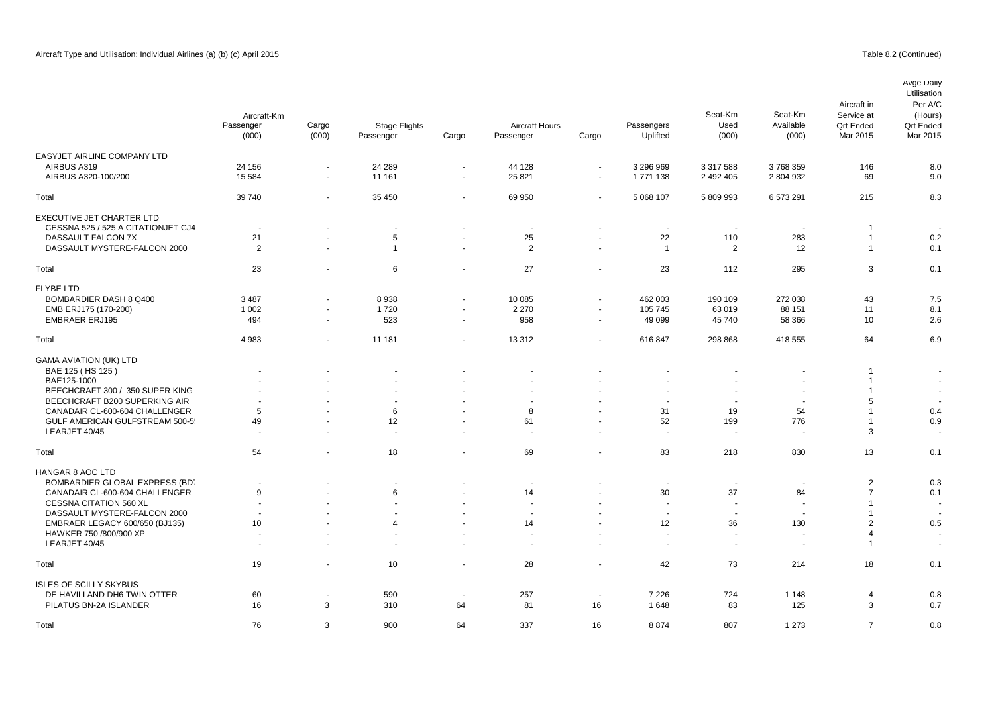EASYJET AIRLINE COMPANY LTD

EXECUTIVE JET CHARTER LTD

GAMA AVIATION (UK) LTD

FLYBE LTD

## Passenger Cargo Passenger Cargo Mar 2015 Mar 2015 AIRBUS A319 24 156 - 24 289 - 44 128 - 3 296 969 3 317 588 3 768 359 146 8.0 AIRBUS A320-100/200 15 584 - 11 161 - 25 821 - 1 771 138 2 492 405 2 804 932 69 9.0 Total 39 740 - 35 450 - 69 950 - 5 068 107 5 809 993 6 573 291 215 8.3 CESSNA 525 / 525 A CITATIONJET CJ4 - - - - - - - - - 1 - DASSAULT FALCON 7X 21 - 5 - 25 - 22 110 283 1 0.2 0.1 DASSAULT MYSTERE-FALCON 2000 2 - 1 2 2 - 2 12 1 Total 23 - 6 - 27 - 23 112 295 3 0.1 BOMBARDIER DASH 8 Q400 3 487 - 8 938 - 10 085 - 462 003 190 109 272 038 43 7.5 EMB ERJ175 (170-200) 1 002 1 720 2 270 105 745 63 019 88 151 11 8.1 EMBRAER ERJ195 494 - 523 - 958 - 49 099 45 740 58 366 10 2.6 Total 4 983 - 11 181 - 13 312 - 616 847 298 868 418 555 64 6.9 BAE 125 ( HS 125 ) - - - - - - - - - 1 - BAE125-1000 - - - - - - - - - 1 - BEECHCRAFT 300 / 350 SUPER KING ATRICORATION ATRICORATION AT A SECOND ATRICORATION AT A SECOND AT A SECOND ATRICORATION AT A SECOND AT A SECOND AT A SECOND AT A SECOND AT A SECOND AT A SECOND AT A SECOND AT A SECOND AT A S BEECHCRAFT B200 SUPERKING AIR And the state of the state of the state of the state of the state of the state of the state of the state of the state of the state of the state of the state of the state of the state of the st CANADAIR CL-600-604 CHALLENGER 5 - 6 - 8 - 31 19 54 1 0.4 GULF AMERICAN GULFSTREAM 500-5 49 49 - 12 12 - 61 - 52 199 776 1 0.9 Seat-Km Available (000) Passenger (000) Cargo (000) Stage Flights **Aircraft Hours Passengers** Uplifted Avge Daily Utilisation Per A/C (Hours) Qrt Ended<br>Mar 2015 Aircraft in Service at Qrt Ended<br>Mar 2015 Aircraft-Km Seat-Km Used (000)

| LEARJET 40/45                  |                          |                          |                          |        |        |                          |         |                          |                          |    |     |
|--------------------------------|--------------------------|--------------------------|--------------------------|--------|--------|--------------------------|---------|--------------------------|--------------------------|----|-----|
| Total                          | 54                       |                          | 18                       | $\sim$ | 69     | $\sim$                   | 83      | 218                      | 830                      | 13 | 0.1 |
| HANGAR 8 AOC LTD               |                          |                          |                          |        |        |                          |         |                          |                          |    |     |
| BOMBARDIER GLOBAL EXPRESS (BD) |                          |                          |                          |        |        |                          |         |                          |                          |    | 0.3 |
| CANADAIR CL-600-604 CHALLENGER |                          | $\overline{\phantom{a}}$ |                          | $\sim$ | 14     | $\sim$                   | 30      | 37                       | 84                       |    | 0.1 |
| <b>CESSNA CITATION 560 XL</b>  | $\overline{\phantom{0}}$ | $\sim$                   | $\overline{\phantom{a}}$ | $\sim$ | $\sim$ | $\sim$                   |         |                          |                          |    |     |
| DASSAULT MYSTERE-FALCON 2000   |                          |                          |                          | $\sim$ |        |                          |         |                          |                          |    |     |
| EMBRAER LEGACY 600/650 (BJ135) | 10                       | $\overline{\phantom{a}}$ |                          | $\sim$ | 14     | $\overline{\phantom{a}}$ | 12      | 36                       | 130                      |    | 0.5 |
| HAWKER 750 /800/900 XP         | $\overline{a}$           | $\overline{\phantom{a}}$ | $\overline{a}$           | $\sim$ | $\sim$ | $\sim$                   | $\sim$  | $\sim$                   | $\sim$                   |    |     |
| LEARJET 40/45                  | $\overline{\phantom{0}}$ |                          |                          | $\sim$ | -      |                          |         | $\overline{\phantom{a}}$ | $\overline{\phantom{a}}$ |    |     |
| Total                          | 19                       |                          | 10                       | $\sim$ | 28     |                          | 42      | 73                       | 214                      | 18 | 0.1 |
| <b>ISLES OF SCILLY SKYBUS</b>  |                          |                          |                          |        |        |                          |         |                          |                          |    |     |
| DE HAVILLAND DH6 TWIN OTTER    | 60                       |                          | 590                      |        | 257    |                          | 7 2 2 6 | 724                      | 1 1 4 8                  |    | 0.8 |
| PILATUS BN-2A ISLANDER         | 16                       |                          | 310                      | 64     | 81     | 16                       | 1648    | 83                       | 125                      |    | 0.7 |
| Total                          | 76                       |                          | 900                      | 64     | 337    | 16                       | 8874    | 807                      | 1 2 7 3                  |    | 0.8 |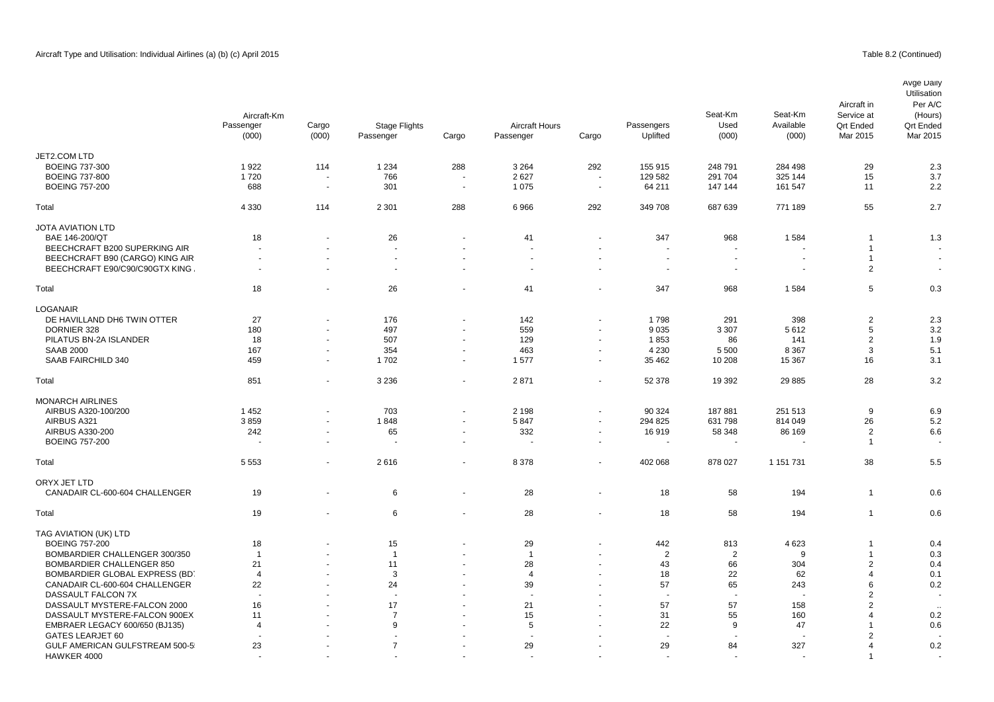|                                 | Aircraft-Km<br>Passenger<br>(000) | Cargo<br>(000)           | Stage Flights<br>Passenger | Cargo  | <b>Aircraft Hours</b><br>Passenger | Cargo                    | Passengers<br>Uplifted | Seat-Km<br>Used<br>(000) | Seat-Km<br>Available<br>(000) | Aircraft in<br>Service at<br><b>Qrt Ended</b><br>Mar 2015 | Avge Daily<br>Utilisation<br>Per A/C<br>(Hours)<br><b>Qrt Ended</b><br>Mar 2015 |
|---------------------------------|-----------------------------------|--------------------------|----------------------------|--------|------------------------------------|--------------------------|------------------------|--------------------------|-------------------------------|-----------------------------------------------------------|---------------------------------------------------------------------------------|
| JET2.COM LTD                    |                                   |                          |                            |        |                                    |                          |                        |                          |                               |                                                           |                                                                                 |
| <b>BOEING 737-300</b>           | 1922                              | 114                      | 1 2 3 4                    | 288    | 3 2 6 4                            | 292                      | 155 915                | 248 791                  | 284 498                       | 29                                                        | 2.3                                                                             |
| <b>BOEING 737-800</b>           | 1720                              |                          | 766                        |        | 2627                               | $\sim$                   | 129 582                | 291 704                  | 325 144                       | 15                                                        | 3.7                                                                             |
| <b>BOEING 757-200</b>           | 688                               | $\sim$                   | 301                        | $\sim$ | 1 0 7 5                            | $\sim$                   | 64 211                 | 147 144                  | 161 547                       | 11                                                        | 2.2                                                                             |
| Total                           | 4 3 3 0                           | 114                      | 2 3 0 1                    | 288    | 6966                               | 292                      | 349 708                | 687 639                  | 771 189                       | 55                                                        | 2.7                                                                             |
| <b>JOTA AVIATION LTD</b>        |                                   |                          |                            |        |                                    |                          |                        |                          |                               |                                                           |                                                                                 |
| BAE 146-200/QT                  | 18                                |                          | 26                         |        | 41                                 | $\overline{\phantom{a}}$ | 347                    | 968                      | 1584                          | $\overline{1}$                                            | 1.3                                                                             |
| BEECHCRAFT B200 SUPERKING AIR   |                                   |                          |                            |        | $\sim$                             |                          |                        | ÷,                       |                               | $\mathbf{1}$                                              |                                                                                 |
| BEECHCRAFT B90 (CARGO) KING AIR |                                   |                          | $\blacksquare$             |        | $\blacksquare$                     | $\overline{\phantom{a}}$ |                        | ٠.                       |                               | $\overline{1}$                                            |                                                                                 |
| BEECHCRAFT E90/C90/C90GTX KING  | $\sim$                            | $\blacksquare$           | $\overline{\phantom{a}}$   |        | $\sim$                             | $\blacksquare$           | $\sim$                 | $\blacksquare$           | $\sim$                        | $\overline{2}$                                            | $\blacksquare$                                                                  |
| Total                           | 18                                | ÷,                       | 26                         |        | 41                                 | $\overline{\phantom{a}}$ | 347                    | 968                      | 1584                          | 5                                                         | 0.3                                                                             |
| <b>LOGANAIR</b>                 |                                   |                          |                            |        |                                    |                          |                        |                          |                               |                                                           |                                                                                 |
| DE HAVILLAND DH6 TWIN OTTER     | 27                                | $\blacksquare$           | 176                        |        | 142                                | $\overline{\phantom{a}}$ | 1798                   | 291                      | 398                           | $\overline{2}$                                            | 2.3                                                                             |
| DORNIER 328                     | 180                               | $\sim$                   | 497                        | $\sim$ | 559                                | $\blacksquare$           | 9035                   | 3 3 0 7                  | 5612                          | 5                                                         | 3.2                                                                             |
| PILATUS BN-2A ISLANDER          | 18                                | $\blacksquare$           | 507                        |        | 129                                | $\overline{\phantom{a}}$ | 1853                   | 86                       | 141                           | $\overline{2}$                                            | 1.9                                                                             |
| <b>SAAB 2000</b>                | 167                               | $\sim$                   | 354                        | $\sim$ | 463                                | $\overline{\phantom{a}}$ | 4 2 3 0                | 5 5 0 0                  | 8 3 6 7                       | 3                                                         | 5.1                                                                             |
| SAAB FAIRCHILD 340              | 459                               | $\sim$                   | 1702                       |        | 1577                               | $\blacksquare$           | 35 4 62                | 10 208                   | 15 3 67                       | 16                                                        | 3.1                                                                             |
| Total                           | 851                               | $\blacksquare$           | 3 2 3 6                    | $\sim$ | 2871                               | $\blacksquare$           | 52 378                 | 19 3 9 2                 | 29 885                        | 28                                                        | 3.2                                                                             |
| <b>MONARCH AIRLINES</b>         |                                   |                          |                            |        |                                    |                          |                        |                          |                               |                                                           |                                                                                 |
| AIRBUS A320-100/200             | 1452                              | $\blacksquare$           | 703                        | $\sim$ | 2 1 9 8                            | $\blacksquare$           | 90 324                 | 187881                   | 251 513                       | 9                                                         | 6.9                                                                             |
| AIRBUS A321                     | 3859                              | ä,                       | 1848                       | $\sim$ | 5847                               | $\mathbf{u}$             | 294 825                | 631 798                  | 814 049                       | 26                                                        | 5.2                                                                             |
| AIRBUS A330-200                 | 242                               | $\blacksquare$           | 65                         | $\sim$ | 332                                | $\blacksquare$           | 16919                  | 58 348                   | 86 169                        | $\overline{2}$                                            | 6.6                                                                             |
| <b>BOEING 757-200</b>           |                                   | $\blacksquare$           | ÷.                         |        | $\overline{a}$                     | $\blacksquare$           |                        | $\overline{\phantom{a}}$ |                               | $\overline{1}$                                            |                                                                                 |
| Total                           | 5 5 5 3                           | $\blacksquare$           | 2616                       | $\sim$ | 8 3 7 8                            | $\blacksquare$           | 402 068                | 878 027                  | 1 151 731                     | 38                                                        | 5.5                                                                             |
|                                 |                                   |                          |                            |        |                                    |                          |                        |                          |                               |                                                           |                                                                                 |
| ORYX JET LTD                    |                                   |                          |                            |        |                                    |                          |                        |                          |                               | $\overline{1}$                                            |                                                                                 |
| CANADAIR CL-600-604 CHALLENGER  | 19                                | ÷,                       | 6                          |        | 28                                 | $\blacksquare$           | 18                     | 58                       | 194                           |                                                           | 0.6                                                                             |
| Total                           | 19                                | $\blacksquare$           | 6                          |        | 28                                 | $\sim$                   | 18                     | 58                       | 194                           | $\overline{1}$                                            | 0.6                                                                             |
| TAG AVIATION (UK) LTD           |                                   |                          |                            |        |                                    |                          |                        |                          |                               |                                                           |                                                                                 |
| <b>BOEING 757-200</b>           | 18                                |                          | 15                         |        | 29                                 | $\overline{\phantom{a}}$ | 442                    | 813                      | 4623                          | $\mathbf{1}$                                              | 0.4                                                                             |
| BOMBARDIER CHALLENGER 300/350   | $\overline{1}$                    | $\overline{\phantom{a}}$ | $\overline{1}$             |        | $\overline{1}$                     | $\sim$                   | $\overline{2}$         | $\overline{2}$           | 9                             | $\overline{1}$                                            | 0.3                                                                             |
| BOMBARDIER CHALLENGER 850       | 21                                |                          | 11                         |        | 28                                 |                          | 43                     | 66                       | 304                           | $\overline{2}$                                            | 0.4                                                                             |
| BOMBARDIER GLOBAL EXPRESS (BD.  | $\overline{4}$                    | $\blacksquare$           | 3                          |        | $\overline{4}$                     | $\blacksquare$           | 18                     | 22                       | 62                            | $\overline{4}$                                            | 0.1                                                                             |
| CANADAIR CL-600-604 CHALLENGER  | 22                                |                          | 24                         |        | 39                                 |                          | 57                     | 65                       | 243                           | 6                                                         | 0.2                                                                             |
| DASSAULT FALCON 7X              |                                   |                          | ÷.                         |        |                                    |                          |                        | $\ddot{\phantom{1}}$     |                               | $\overline{2}$                                            |                                                                                 |
| DASSAULT MYSTERE-FALCON 2000    | 16                                |                          | 17                         |        | 21                                 |                          | 57                     | 57                       | 158                           | $\overline{2}$                                            |                                                                                 |
| DASSAULT MYSTERE-FALCON 900EX   | 11                                |                          | $\overline{7}$             |        | 15                                 |                          | 31                     | 55                       | 160                           | 4                                                         | 0.2                                                                             |
| EMBRAER LEGACY 600/650 (BJ135)  | $\overline{4}$                    |                          | 9                          |        | 5                                  |                          | 22                     | 9                        | 47                            | $\mathbf{1}$                                              | 0.6                                                                             |
| GATES LEARJET 60                |                                   |                          |                            |        |                                    |                          |                        |                          |                               | 2                                                         |                                                                                 |

GATES LEARJET 60 - - - - - - - - - 2 - GULF AMERICAN GULFSTREAM 500-5 23 29 7 29 29 29 29 29 327 4 0.2 HAWKER 4000 - - - - - - - - - 1 -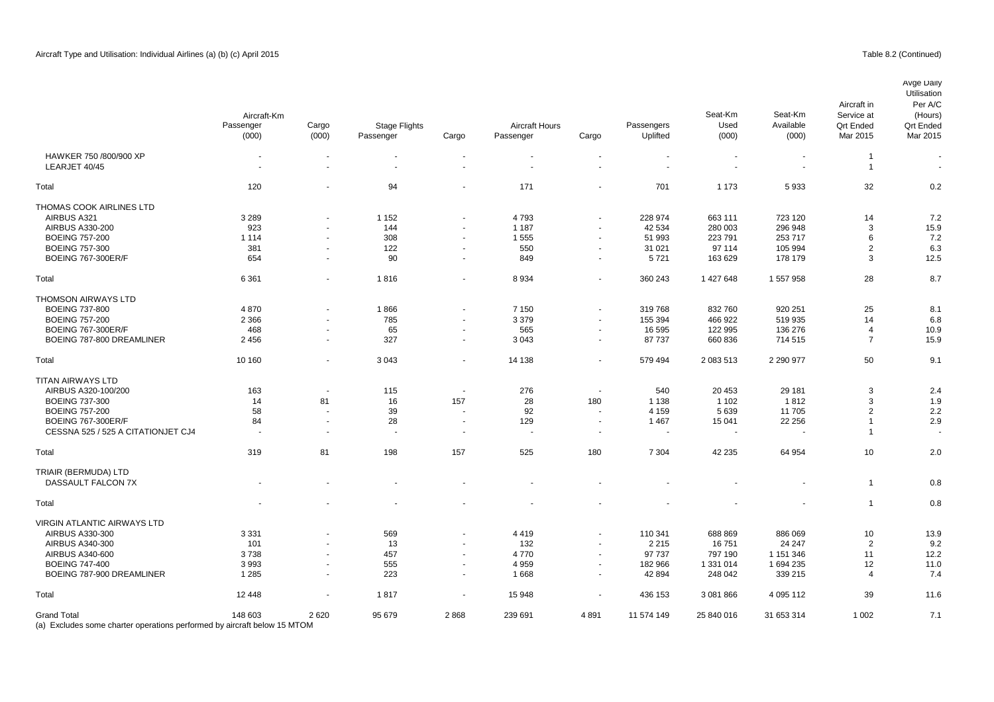|                                    | Aircraft-Km<br>Passenger<br>(000) | Cargo<br>(000)       | <b>Stage Flights</b><br>Passenger | Cargo                    | <b>Aircraft Hours</b><br>Passenger | Cargo                    | Passengers<br>Uplifted | Seat-Km<br>Used<br>(000) | Seat-Km<br>Available<br>(000) | Aircraft in<br>Service at<br><b>Qrt Ended</b><br>Mar 2015 | Avge Daily<br>Utilisation<br>Per A/C<br>(Hours)<br><b>Qrt Ended</b><br>Mar 2015 |
|------------------------------------|-----------------------------------|----------------------|-----------------------------------|--------------------------|------------------------------------|--------------------------|------------------------|--------------------------|-------------------------------|-----------------------------------------------------------|---------------------------------------------------------------------------------|
| HAWKER 750 /800/900 XP             |                                   |                      |                                   | $\blacksquare$           | $\blacksquare$                     |                          |                        | $\blacksquare$           | $\overline{\phantom{a}}$      | $\overline{1}$                                            |                                                                                 |
| LEARJET 40/45                      |                                   | $\blacksquare$       |                                   |                          |                                    |                          |                        |                          |                               | $\overline{1}$                                            | $\sim$                                                                          |
| Total                              | 120                               |                      | 94                                |                          | 171                                |                          | 701                    | 1 1 7 3                  | 5933                          | 32                                                        | 0.2                                                                             |
| THOMAS COOK AIRLINES LTD           |                                   |                      |                                   |                          |                                    |                          |                        |                          |                               |                                                           |                                                                                 |
| AIRBUS A321                        | 3 2 8 9                           |                      | 1 1 5 2                           |                          | 4793                               |                          | 228 974                | 663 111                  | 723 120                       | 14                                                        | 7.2                                                                             |
| AIRBUS A330-200                    | 923                               | $\sim$               | 144                               | $\sim$                   | 1 1 8 7                            |                          | 42 534                 | 280 003                  | 296 948                       | 3                                                         | 15.9                                                                            |
| <b>BOEING 757-200</b>              | 1 1 1 4                           |                      | 308                               | $\sim$                   | 1 5 5 5                            |                          | 51 993                 | 223 791                  | 253 717                       | 6                                                         | 7.2                                                                             |
| <b>BOEING 757-300</b>              | 381                               | $\blacksquare$       | 122                               | $\overline{\phantom{a}}$ | 550                                | $\overline{\phantom{a}}$ | 31 0 21                | 97 114                   | 105 994                       | 2                                                         | 6.3                                                                             |
| <b>BOEING 767-300ER/F</b>          | 654                               | $\blacksquare$       | 90                                | $\overline{\phantom{a}}$ | 849                                | $\overline{\phantom{a}}$ | 5721                   | 163 629                  | 178 179                       | 3                                                         | 12.5                                                                            |
|                                    |                                   |                      |                                   |                          |                                    |                          |                        |                          |                               |                                                           |                                                                                 |
| Total                              | 6 3 6 1                           | $\blacksquare$       | 1816                              | $\blacksquare$           | 8934                               | $\blacksquare$           | 360 243                | 1 427 648                | 1 557 958                     | 28                                                        | 8.7                                                                             |
| THOMSON AIRWAYS LTD                |                                   |                      |                                   |                          |                                    |                          |                        |                          |                               |                                                           |                                                                                 |
| <b>BOEING 737-800</b>              | 4870                              |                      | 1866                              |                          | 7 1 5 0                            |                          | 319768                 | 832 760                  | 920 251                       | 25                                                        | 8.1                                                                             |
| <b>BOEING 757-200</b>              | 2 3 6 6                           | $\blacksquare$       | 785                               | $\sim$                   | 3 3 7 9                            | $\blacksquare$           | 155 394                | 466 922                  | 519 935                       | 14                                                        | 6.8                                                                             |
| <b>BOEING 767-300ER/F</b>          | 468                               |                      | 65                                | ÷.                       | 565                                | $\overline{\phantom{a}}$ | 16 595                 | 122 995                  | 136 276                       | $\overline{4}$                                            | 10.9                                                                            |
| BOEING 787-800 DREAMLINER          | 2 4 5 6                           | $\blacksquare$       | 327                               | $\sim$                   | 3 0 4 3                            | $\sim$                   | 87737                  | 660 836                  | 714 515                       | $\overline{7}$                                            | 15.9                                                                            |
| Total                              | 10 160                            | ÷                    | 3 0 4 3                           | ÷.                       | 14 138                             |                          | 579 494                | 2 083 513                | 2 290 977                     | 50                                                        | 9.1                                                                             |
| <b>TITAN AIRWAYS LTD</b>           |                                   |                      |                                   |                          |                                    |                          |                        |                          |                               |                                                           |                                                                                 |
| AIRBUS A320-100/200                | 163                               | $\blacksquare$       | 115                               | $\sim$                   | 276                                | $\overline{\phantom{a}}$ | 540                    | 20 453                   | 29 181                        | 3                                                         | 2.4                                                                             |
| <b>BOEING 737-300</b>              | 14                                | 81                   | 16                                | 157                      | 28                                 | 180                      | 1 1 3 8                | 1 1 0 2                  | 1812                          | 3                                                         | 1.9                                                                             |
| <b>BOEING 757-200</b>              | 58                                |                      | 39                                |                          | 92                                 |                          | 4 1 5 9                | 5639                     | 11 705                        | 2                                                         | 2.2                                                                             |
|                                    |                                   |                      |                                   |                          |                                    |                          |                        |                          |                               |                                                           |                                                                                 |
| <b>BOEING 767-300ER/F</b>          | 84                                | $\blacksquare$       | 28                                | $\sim$                   | 129                                | $\overline{\phantom{a}}$ | 1 4 6 7                | 15 041                   | 22 25 6                       | $\overline{1}$<br>$\overline{1}$                          | 2.9                                                                             |
| CESSNA 525 / 525 A CITATIONJET CJ4 | $\sim$                            | $\ddot{\phantom{1}}$ | $\sim$                            | $\overline{a}$           | ÷.                                 | $\sim$                   |                        | $\overline{\phantom{a}}$ |                               |                                                           |                                                                                 |
| Total                              | 319                               | 81                   | 198                               | 157                      | 525                                | 180                      | 7 3 0 4                | 42 235                   | 64 954                        | 10                                                        | 2.0                                                                             |
| TRIAIR (BERMUDA) LTD               |                                   |                      |                                   |                          |                                    |                          |                        |                          |                               |                                                           |                                                                                 |
| DASSAULT FALCON 7X                 |                                   |                      |                                   |                          |                                    |                          |                        |                          |                               | $\overline{1}$                                            | 0.8                                                                             |
| Total                              |                                   |                      |                                   |                          |                                    |                          |                        |                          |                               | $\overline{1}$                                            | 0.8                                                                             |
| VIRGIN ATLANTIC AIRWAYS LTD        |                                   |                      |                                   |                          |                                    |                          |                        |                          |                               |                                                           |                                                                                 |
| AIRBUS A330-300                    | 3 3 3 1                           |                      | 569                               |                          | 4419                               |                          | 110 341                | 688 869                  | 886 069                       | 10                                                        | 13.9                                                                            |
| AIRBUS A340-300                    | 101                               | $\blacksquare$       | 13                                | $\sim$                   | 132                                | $\overline{\phantom{a}}$ | 2 2 1 5                | 16751                    | 24 247                        | $\overline{2}$                                            | 9.2                                                                             |
| AIRBUS A340-600                    | 3738                              | $\overline{a}$       | 457                               | $\sim$                   | 4770                               | $\sim$                   | 97 737                 | 797 190                  | 1 151 346                     | 11                                                        | 12.2                                                                            |
| <b>BOEING 747-400</b>              | 3993                              | $\blacksquare$       | 555                               | $\sim$                   | 4 9 5 9                            | $\sim$                   | 182 966                | 1 331 014                | 1 694 235                     | 12                                                        | 11.0                                                                            |
| BOEING 787-900 DREAMLINER          | 1 2 8 5                           | $\overline{a}$       | 223                               | $\sim$                   | 1668                               | $\sim$                   | 42 8 94                | 248 042                  | 339 215                       | $\overline{4}$                                            | 7.4                                                                             |
|                                    |                                   |                      |                                   |                          |                                    |                          |                        |                          |                               |                                                           |                                                                                 |
| Total                              | 12 4 48                           |                      | 1817                              | $\sim$                   | 15 948                             |                          | 436 153                | 3 081 866                | 4 095 112                     | 39                                                        | 11.6                                                                            |
| <b>Grand Total</b>                 | 148 603                           | 2620                 | 95 679                            | 2868                     | 239 691                            | 4891                     | 11 574 149             | 25 840 016               | 31 653 314                    | 1 0 0 2                                                   | 7.1                                                                             |

(a) Excludes some charter operations performed by aircraft below 15 MTOM